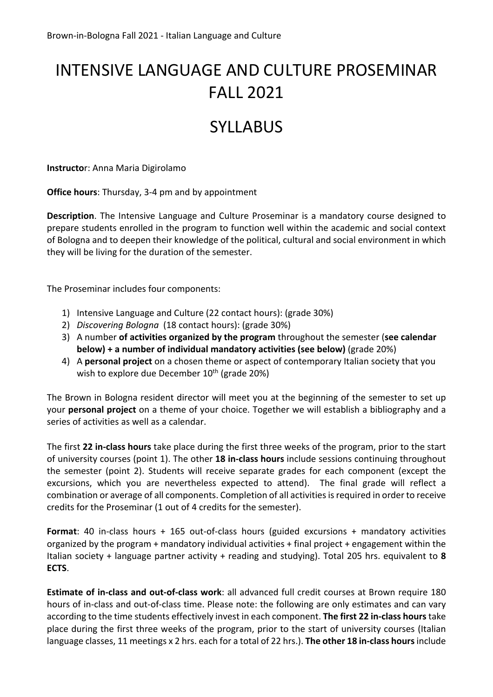# INTENSIVE LANGUAGE AND CULTURE PROSEMINAR FALL 2021

# SYLLABUS

**Instructo**r: Anna Maria Digirolamo

**Office hours**: Thursday, 3-4 pm and by appointment

**Description**. The Intensive Language and Culture Proseminar is a mandatory course designed to prepare students enrolled in the program to function well within the academic and social context of Bologna and to deepen their knowledge of the political, cultural and social environment in which they will be living for the duration of the semester.

The Proseminar includes four components:

- 1) Intensive Language and Culture (22 contact hours): (grade 30%)
- 2) *Discovering Bologna* (18 contact hours): (grade 30%)
- 3) A number **of activities organized by the program** throughout the semester (**see calendar below) + a number of individual mandatory activities (see below)** (grade 20%)
- 4) A **personal project** on a chosen theme or aspect of contemporary Italian society that you wish to explore due December  $10^{th}$  (grade 20%)

The Brown in Bologna resident director will meet you at the beginning of the semester to set up your **personal project** on a theme of your choice. Together we will establish a bibliography and a series of activities as well as a calendar.

The first **22 in-class hours** take place during the first three weeks of the program, prior to the start of university courses (point 1). The other **18 in-class hours** include sessions continuing throughout the semester (point 2). Students will receive separate grades for each component (except the excursions, which you are nevertheless expected to attend). The final grade will reflect a combination or average of all components. Completion of all activities is required in order to receive credits for the Proseminar (1 out of 4 credits for the semester).

**Format**: 40 in-class hours + 165 out-of-class hours (guided excursions + mandatory activities organized by the program + mandatory individual activities + final project + engagement within the Italian society + language partner activity + reading and studying). Total 205 hrs. equivalent to **8 ECTS**.

**Estimate of in-class and out-of-class work**: all advanced full credit courses at Brown require 180 hours of in-class and out-of-class time. Please note: the following are only estimates and can vary according to the time students effectively invest in each component. **The first 22 in-class hours**take place during the first three weeks of the program, prior to the start of university courses (Italian language classes, 11 meetings x 2 hrs. each for a total of 22 hrs.). **The other 18 in-class hours**include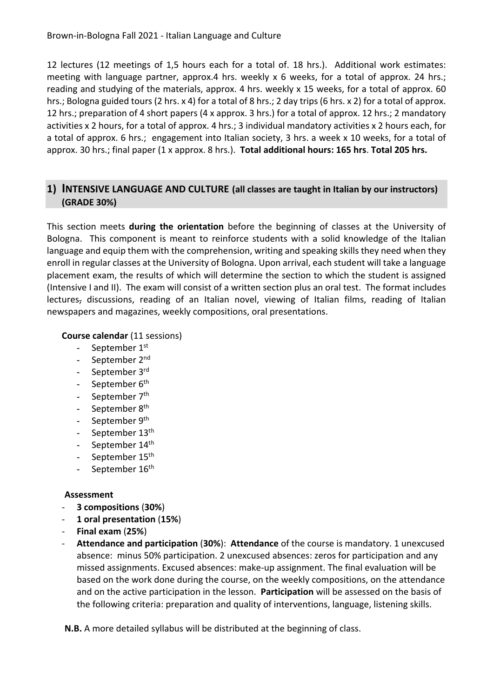12 lectures (12 meetings of 1,5 hours each for a total of. 18 hrs.). Additional work estimates: meeting with language partner, approx.4 hrs. weekly x 6 weeks, for a total of approx. 24 hrs.; reading and studying of the materials, approx. 4 hrs. weekly x 15 weeks, for a total of approx. 60 hrs.; Bologna guided tours (2 hrs. x 4) for a total of 8 hrs.; 2 day trips (6 hrs. x 2) for a total of approx. 12 hrs.; preparation of 4 short papers (4 x approx. 3 hrs.) for a total of approx. 12 hrs.; 2 mandatory activities x 2 hours, for a total of approx. 4 hrs.; 3 individual mandatory activities x 2 hours each, for a total of approx. 6 hrs.; engagement into Italian society, 3 hrs. a week x 10 weeks, for a total of approx. 30 hrs.; final paper (1 x approx. 8 hrs.). **Total additional hours: 165 hrs**. **Total 205 hrs.**

# **1) INTENSIVE LANGUAGE AND CULTURE (all classes are taught in Italian by our instructors) (GRADE 30%)**

This section meets **during the orientation** before the beginning of classes at the University of Bologna. This component is meant to reinforce students with a solid knowledge of the Italian language and equip them with the comprehension, writing and speaking skills they need when they enroll in regular classes at the University of Bologna. Upon arrival, each student will take a language placement exam, the results of which will determine the section to which the student is assigned (Intensive I and II). The exam will consist of a written section plus an oral test. The format includes lectures, discussions, reading of an Italian novel, viewing of Italian films, reading of Italian newspapers and magazines, weekly compositions, oral presentations.

## **Course calendar** (11 sessions)

- September  $1<sup>st</sup>$
- September 2<sup>nd</sup>
- September 3rd
- September 6<sup>th</sup>
- September 7<sup>th</sup>
- September 8<sup>th</sup>
- September 9<sup>th</sup>
- September 13<sup>th</sup>
- September 14th
- September 15<sup>th</sup>
- September 16<sup>th</sup>

## **Assessment**

- **3 compositions** (**30%**)
- **1 oral presentation** (**15%**)
- **Final exam** (**25%**)
- **Attendance and participation** (**30%**): **Attendance** of the course is mandatory. 1 unexcused absence: minus 50% participation. 2 unexcused absences: zeros for participation and any missed assignments. Excused absences: make-up assignment. The final evaluation will be based on the work done during the course, on the weekly compositions, on the attendance and on the active participation in the lesson. **Participation** will be assessed on the basis of the following criteria: preparation and quality of interventions, language, listening skills.

**N.B.** A more detailed syllabus will be distributed at the beginning of class.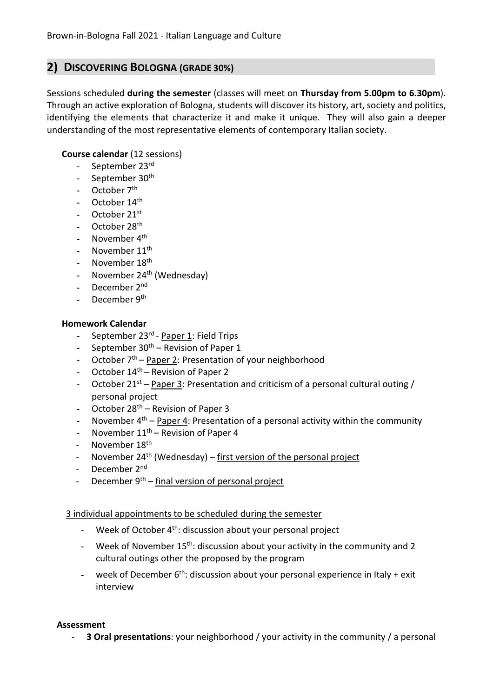# **2) DISCOVERING BOLOGNA (GRADE 30%)**

Sessions scheduled **during the semester** (classes will meet on **Thursday from 5.00pm to 6.30pm**). Through an active exploration of Bologna, students will discover its history, art, society and politics, identifying the elements that characterize it and make it unique. They will also gain a deeper understanding of the most representative elements of contemporary Italian society.

## **Course calendar** (12 sessions)

- September 23rd
- September 30<sup>th</sup>
- October 7<sup>th</sup>
- October 14<sup>th</sup>
- October 21st
- October 28<sup>th</sup>
- November  $4<sup>th</sup>$
- November 11<sup>th</sup>
- November 18<sup>th</sup>
- November 24<sup>th</sup> (Wednesday)
- December 2<sup>nd</sup>
- December 9<sup>th</sup>

#### **Homework Calendar**

- September 23<sup>rd</sup> Paper 1: Field Trips
- September  $30<sup>th</sup>$  Revision of Paper 1
- October  $7<sup>th</sup>$  Paper 2: Presentation of your neighborhood
- October  $14<sup>th</sup>$  Revision of Paper 2
- October 21<sup>st</sup> Paper 3: Presentation and criticism of a personal cultural outing / personal project
- October  $28<sup>th</sup>$  Revision of Paper 3
- November  $4<sup>th</sup>$  Paper 4: Presentation of a personal activity within the community
- November  $11<sup>th</sup>$  Revision of Paper 4
- November 18<sup>th</sup>
- November  $24<sup>th</sup>$  (Wednesday) first version of the personal project
- December 2<sup>nd</sup>
- December  $9<sup>th</sup>$  final version of personal project

#### 3 individual appointments to be scheduled during the semester

- Week of October 4<sup>th</sup>: discussion about your personal project
- Week of November  $15<sup>th</sup>$ : discussion about your activity in the community and 2 cultural outings other the proposed by the program
- week of December  $6<sup>th</sup>$ : discussion about your personal experience in Italy + exit interview

#### **Assessment**

**3 Oral presentations**: your neighborhood / your activity in the community / a personal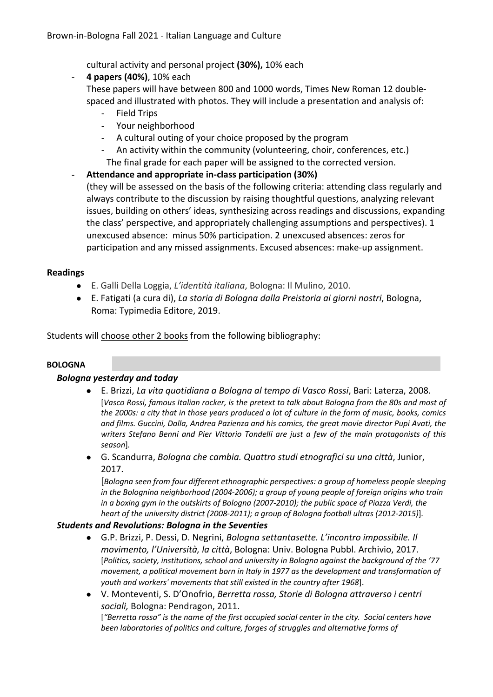cultural activity and personal project **(30%),** 10% each

- **4 papers (40%)**, 10% each
	- These papers will have between 800 and 1000 words, Times New Roman 12 doublespaced and illustrated with photos. They will include a presentation and analysis of:
		- Field Trips
		- Your neighborhood
		- A cultural outing of your choice proposed by the program
		- An activity within the community (volunteering, choir, conferences, etc.)

The final grade for each paper will be assigned to the corrected version.

## - **Attendance and appropriate in-class participation (30%)**

(they will be assessed on the basis of the following criteria: attending class regularly and always contribute to the discussion by raising thoughtful questions, analyzing relevant issues, building on others' ideas, synthesizing across readings and discussions, expanding the class' perspective, and appropriately challenging assumptions and perspectives). 1 unexcused absence: minus 50% participation. 2 unexcused absences: zeros for participation and any missed assignments. Excused absences: make-up assignment.

## **Readings**

- E. Galli Della Loggia, *L'identità italiana*, Bologna: Il Mulino, 2010.
- E. Fatigati (a cura di), *La storia di Bologna dalla Preistoria ai giorni nostri*, Bologna, Roma: Typimedia Editore, 2019.

Students will choose other 2 books from the following bibliography:

## **BOLOGNA**

#### *Bologna yesterday and today*

- E. Brizzi, *La vita quotidiana a Bologna al tempo di Vasco Rossi*, Bari: Laterza, 2008. [*Vasco Rossi, famous Italian rocker, is the pretext to talk about Bologna from the 80s and most of the 2000s: a city that in those years produced a lot of culture in the form of music, books, comics and films. Guccini, Dalla, Andrea Pazienza and his comics, the great movie director Pupi Avati, the writers Stefano Benni and Pier Vittorio Tondelli are just a few of the main protagonists of this season*]*.*
- G. Scandurra, *Bologna che cambia. Quattro studi etnografici su una città*, Junior, 2017.

[*Bologna seen from four different ethnographic perspectives: a group of homeless people sleeping in the Bolognina neighborhood (2004-2006); a group of young people of foreign origins who train in a boxing gym in the outskirts of Bologna (2007-2010); the public space of Piazza Verdi, the heart of the university district (2008-2011); a group of Bologna football ultras (2012-2015)*]*.*

#### *Students and Revolutions: Bologna in the Seventies*

- G.P. Brizzi, P. Dessi, D. Negrini, *Bologna settantasette. L'incontro impossibile. Il movimento, l'Università, la città*, Bologna: Univ. Bologna Pubbl. Archivio, 2017. [*Politics, society, institutions, school and university in Bologna against the background of the '77 movement, a political movement born in Italy in 1977 as the development and transformation of youth and workers' movements that still existed in the country after 1968*].
- V. Monteventi, S. D'Onofrio, *Berretta rossa, Storie di Bologna attraverso i centri sociali,* Bologna: Pendragon, 2011.

[*"Berretta rossa" is the name of the first occupied social center in the city. Social centers have been laboratories of politics and culture, forges of struggles and alternative forms of*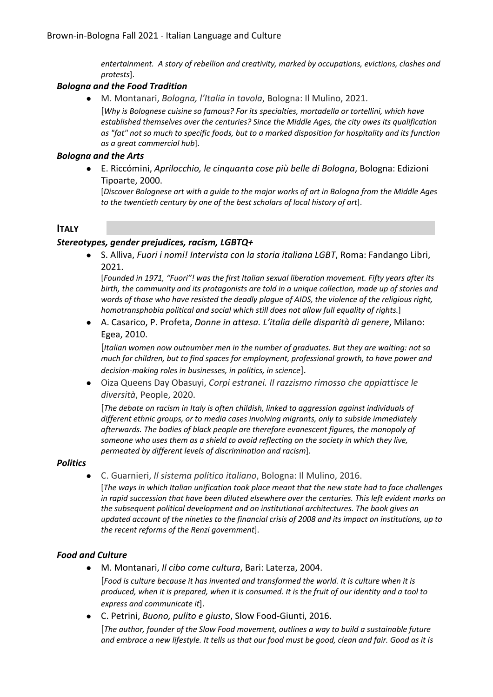*entertainment. A story of rebellion and creativity, marked by occupations, evictions, clashes and protests*].

#### *Bologna and the Food Tradition*

● M. Montanari, *Bologna, l'Italia in tavola*, Bologna: Il Mulino, 2021.

[*Why is Bolognese cuisine so famous? For its specialties, mortadella or tortellini, which have established themselves over the centuries? Since the Middle Ages, the city owes its qualification as "fat" not so much to specific foods, but to a marked disposition for hospitality and its function as a great commercial hub*].

#### *Bologna and the Arts*

● E. Riccómini, *Aprilocchio, le cinquanta cose più belle di Bologna*, Bologna: Edizioni Tipoarte, 2000.

[*Discover Bolognese art with a guide to the major works of art in Bologna from the Middle Ages to the twentieth century by one of the best scholars of local history of art*].

## **ITALY**

#### *Stereotypes, gender prejudices, racism, LGBTQ+*

● S. Alliva, *Fuori i nomi! Intervista con la storia italiana LGBT*, Roma: Fandango Libri, 2021.

[*Founded in 1971, "Fuori"! was the first Italian sexual liberation movement. Fifty years after its birth, the community and its protagonists are told in a unique collection, made up of stories and words of those who have resisted the deadly plague of AIDS, the violence of the religious right, homotransphobia political and social which still does not allow full equality of rights.*]

● A. Casarico, P. Profeta, *Donne in attesa. L'italia delle disparità di genere*, Milano: Egea, 2010.

[*Italian women now outnumber men in the number of graduates. But they are waiting: not so much for children, but to find spaces for employment, professional growth, to have power and decision-making roles in businesses, in politics, in science*].

● Oiza Queens Day Obasuyi, *Corpi estranei. Il razzismo rimosso che appiattisce le diversità*, People, 2020.

[*The debate on racism in Italy is often childish, linked to aggression against individuals of different ethnic groups, or to media cases involving migrants, only to subside immediately afterwards. The bodies of black people are therefore evanescent figures, the monopoly of someone who uses them as a shield to avoid reflecting on the society in which they live, permeated by different levels of discrimination and racism*].

#### *Politics*

● C. Guarnieri, *Il sistema politico italiano*, Bologna: Il Mulino, 2016. [*The ways in which Italian unification took place meant that the new state had to face challenges in rapid succession that have been diluted elsewhere over the centuries. This left evident marks on the subsequent political development and on institutional architectures. The book gives an updated account of the nineties to the financial crisis of 2008 and its impact on institutions, up to the recent reforms of the Renzi government*].

## *Food and Culture*

- M. Montanari, *Il cibo come cultura*, Bari: Laterza, 2004. [*Food is culture because it has invented and transformed the world. It is culture when it is produced, when it is prepared, when it is consumed. It is the fruit of our identity and a tool to express and communicate it*].
- C. Petrini, *Buono, pulito e giusto*, Slow Food-Giunti, 2016. [*The author, founder of the Slow Food movement, outlines a way to build a sustainable future and embrace a new lifestyle. It tells us that our food must be good, clean and fair. Good as it is*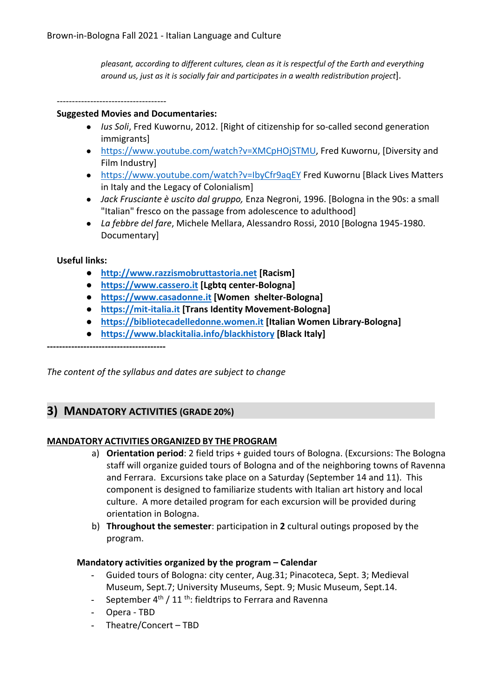*pleasant, according to different cultures, clean as it is respectful of the Earth and everything around us, just as it is socially fair and participates in a wealth redistribution project*].

------------------------------------

#### **Suggested Movies and Documentaries:**

- *Ius Soli*, Fred Kuwornu, 2012. [Right of citizenship for so-called second generation immigrants]
- https://www.youtube.com/watch?v=XMCpHOjSTMU, Fred Kuwornu, [Diversity and Film Industry]
- https://www.youtube.com/watch?v=IbyCfr9aqEY Fred Kuwornu [Black Lives Matters in Italy and the Legacy of Colonialism]
- *Jack Frusciante è uscito dal gruppo,* Enza Negroni, 1996. [Bologna in the 90s: a small "Italian" fresco on the passage from adolescence to adulthood]
- *La febbre del fare*, Michele Mellara, Alessandro Rossi, 2010 [Bologna 1945-1980. Documentary]

#### **Useful links:**

- **http://www.razzismobruttastoria.net [Racism]**
- **https://www.cassero.it [Lgbtq center-Bologna]**
- **https://www.casadonne.it [Women shelter-Bologna]**
- **https://mit-italia.it [Trans Identity Movement-Bologna]**
- **https://bibliotecadelledonne.women.it [Italian Women Library-Bologna]**
- **https://www.blackitalia.info/blackhistory [Black Italy]**

**---------------------------------------**

*The content of the syllabus and dates are subject to change*

# **3) MANDATORY ACTIVITIES (GRADE 20%)**

#### **MANDATORY ACTIVITIES ORGANIZED BY THE PROGRAM**

- a) **Orientation period**: 2 field trips + guided tours of Bologna. (Excursions: The Bologna staff will organize guided tours of Bologna and of the neighboring towns of Ravenna and Ferrara. Excursions take place on a Saturday (September 14 and 11). This component is designed to familiarize students with Italian art history and local culture. A more detailed program for each excursion will be provided during orientation in Bologna.
- b) **Throughout the semester**: participation in **2** cultural outings proposed by the program.

#### **Mandatory activities organized by the program – Calendar**

- Guided tours of Bologna: city center, Aug.31; Pinacoteca, Sept. 3; Medieval Museum, Sept.7; University Museums, Sept. 9; Music Museum, Sept.14.
- September  $4<sup>th</sup>$  / 11<sup>th</sup>: fieldtrips to Ferrara and Ravenna
- Opera TBD
- Theatre/Concert TBD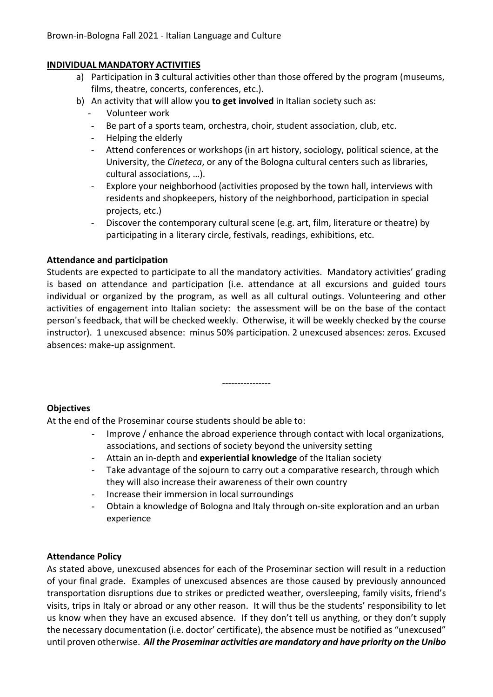## **INDIVIDUAL MANDATORY ACTIVITIES**

- a) Participation in **3** cultural activities other than those offered by the program (museums, films, theatre, concerts, conferences, etc.).
- b) An activity that will allow you **to get involved** in Italian society such as:
	- Volunteer work
	- Be part of a sports team, orchestra, choir, student association, club, etc.
	- Helping the elderly
	- Attend conferences or workshops (in art history, sociology, political science, at the University, the *Cineteca*, or any of the Bologna cultural centers such as libraries, cultural associations, …).
	- Explore your neighborhood (activities proposed by the town hall, interviews with residents and shopkeepers, history of the neighborhood, participation in special projects, etc.)
	- Discover the contemporary cultural scene (e.g. art, film, literature or theatre) by participating in a literary circle, festivals, readings, exhibitions, etc.

## **Attendance and participation**

Students are expected to participate to all the mandatory activities. Mandatory activities' grading is based on attendance and participation (i.e. attendance at all excursions and guided tours individual or organized by the program, as well as all cultural outings. Volunteering and other activities of engagement into Italian society: the assessment will be on the base of the contact person's feedback, that will be checked weekly. Otherwise, it will be weekly checked by the course instructor). 1 unexcused absence: minus 50% participation. 2 unexcused absences: zeros. Excused absences: make-up assignment.

----------------

## **Objectives**

At the end of the Proseminar course students should be able to:

- Improve / enhance the abroad experience through contact with local organizations, associations, and sections of society beyond the university setting
- Attain an in-depth and **experiential knowledge** of the Italian society
- Take advantage of the sojourn to carry out a comparative research, through which they will also increase their awareness of their own country
- Increase their immersion in local surroundings
- Obtain a knowledge of Bologna and Italy through on-site exploration and an urban experience

## **Attendance Policy**

As stated above, unexcused absences for each of the Proseminar section will result in a reduction of your final grade. Examples of unexcused absences are those caused by previously announced transportation disruptions due to strikes or predicted weather, oversleeping, family visits, friend's visits, trips in Italy or abroad or any other reason. It will thus be the students' responsibility to let us know when they have an excused absence. If they don't tell us anything, or they don't supply the necessary documentation (i.e. doctor' certificate), the absence must be notified as "unexcused" until proven otherwise. *All the Proseminar activities are mandatory and have priority on the Unibo*